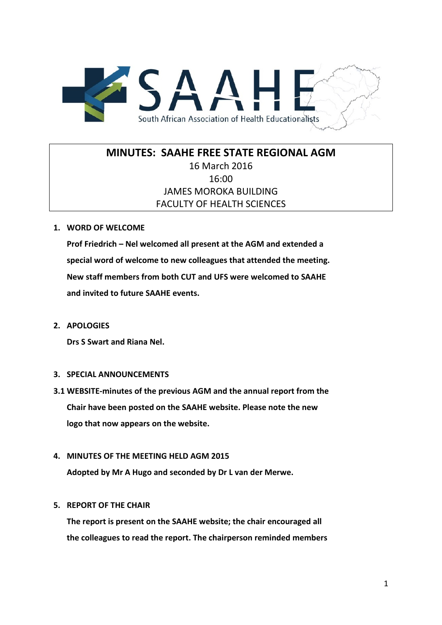

# **MINUTES: SAAHE FREE STATE REGIONAL AGM**

## 16 March 2016 16:00 JAMES MOROKA BUILDING FACULTY OF HEALTH SCIENCES

### **1. WORD OF WELCOME**

**Prof Friedrich – Nel welcomed all present at the AGM and extended a special word of welcome to new colleagues that attended the meeting. New staff members from both CUT and UFS were welcomed to SAAHE and invited to future SAAHE events.**

**2. APOLOGIES**

**Drs S Swart and Riana Nel.**

#### **3. SPECIAL ANNOUNCEMENTS**

**3.1 WEBSITE-minutes of the previous AGM and the annual report from the Chair have been posted on the SAAHE website. Please note the new logo that now appears on the website.**

#### **4. MINUTES OF THE MEETING HELD AGM 2015**

**Adopted by Mr A Hugo and seconded by Dr L van der Merwe.**

#### **5. REPORT OF THE CHAIR**

**The report is present on the SAAHE website; the chair encouraged all the colleagues to read the report. The chairperson reminded members**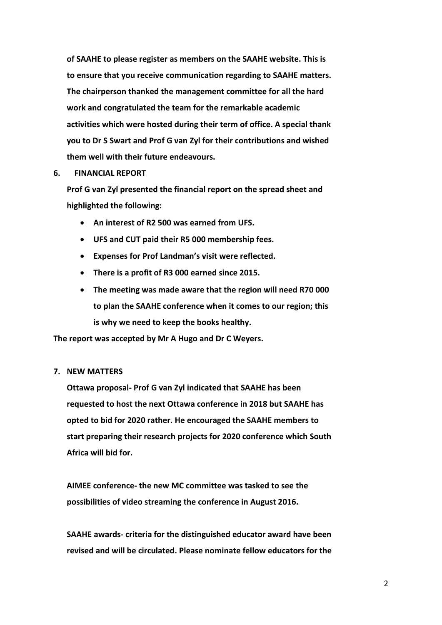**of SAAHE to please register as members on the SAAHE website. This is to ensure that you receive communication regarding to SAAHE matters. The chairperson thanked the management committee for all the hard work and congratulated the team for the remarkable academic activities which were hosted during their term of office. A special thank you to Dr S Swart and Prof G van Zyl for their contributions and wished them well with their future endeavours.** 

#### **6. FINANCIAL REPORT**

**Prof G van Zyl presented the financial report on the spread sheet and highlighted the following:**

- **An interest of R2 500 was earned from UFS.**
- **UFS and CUT paid their R5 000 membership fees.**
- **Expenses for Prof Landman's visit were reflected.**
- **There is a profit of R3 000 earned since 2015.**
- **The meeting was made aware that the region will need R70 000 to plan the SAAHE conference when it comes to our region; this is why we need to keep the books healthy.**

**The report was accepted by Mr A Hugo and Dr C Weyers.**

#### **7. NEW MATTERS**

**Ottawa proposal- Prof G van Zyl indicated that SAAHE has been requested to host the next Ottawa conference in 2018 but SAAHE has opted to bid for 2020 rather. He encouraged the SAAHE members to start preparing their research projects for 2020 conference which South Africa will bid for.** 

**AIMEE conference- the new MC committee was tasked to see the possibilities of video streaming the conference in August 2016.** 

**SAAHE awards- criteria for the distinguished educator award have been revised and will be circulated. Please nominate fellow educators for the**